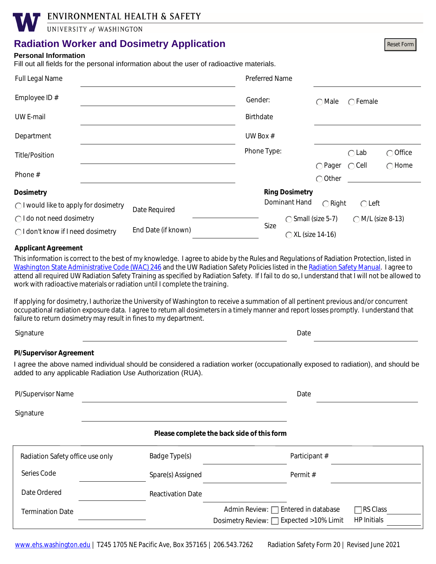ENVIRONMENTAL HEALTH & SAFETY

UNIVERSITY of WASHINGTON

## **Radiation Worker and Dosimetry Application**

### **Personal Information**

Fill out all fields for the personal information about the user of radioactive materials.

| Full Legal Name                       |                     | <b>Preferred Name</b> |                       |                                      |                   |                   |
|---------------------------------------|---------------------|-----------------------|-----------------------|--------------------------------------|-------------------|-------------------|
| Employee ID $#$                       |                     | Gender:               |                       | $\bigcirc$ Male                      | $\bigcap$ Female  |                   |
| UW E-mail                             |                     | <b>Birthdate</b>      |                       |                                      |                   |                   |
| Department                            |                     | UW Box $#$            |                       |                                      |                   |                   |
| <b>Title/Position</b>                 |                     | Phone Type:           |                       |                                      | $\bigcirc$ Lab    | $\bigcirc$ Office |
| Phone #                               |                     |                       |                       | $\bigcirc$ Pager<br>$\bigcirc$ Other | $\bigcirc$ Cell   | $\bigcap$ Home    |
| <b>Dosimetry</b>                      |                     |                       | <b>Ring Dosimetry</b> |                                      |                   |                   |
| ◯ I would like to apply for dosimetry | Date Required       |                       | Dominant Hand         | $\bigcirc$ Right                     | $\bigcirc$ Left   |                   |
| $\bigcap$ I do not need dosimetry     |                     |                       | ◯ Small (size 5-7)    |                                      | ◯ M/L (size 8-13) |                   |
| ◯ I don't know if I need dosimetry    | End Date (if known) | Size                  | ◯ XL (size 14-16)     |                                      |                   |                   |

### **Applicant Agreement**

This information is correct to the best of my knowledge. I agree to abide by the Rules and Regulations of Radiation Protection, listed in [Washington State Administrative Code \(WAC\) 246](http://apps.leg.wa.gov/wac/default.aspx?cite=246) and the UW Radiation Safety Policies listed in the [Radiation Safety Manual](http://www.ehs.washington.edu/system/files/resources/RSManualBinder.pdf). I agree to attend all required UW Radiation Safety Training as specified by Radiation Safety. If I fail to do so, I understand that I will not be allowed to work with radioactive materials or radiation until I complete the training.

If applying for dosimetry, I authorize the University of Washington to receive a summation of all pertinent previous and/or concurrent occupational radiation exposure data. I agree to return all dosimeters in a timely manner and report losses promptly. I understand that failure to return dosimetry may result in fines to my department.

Signature Date Date of the Date of the Date of the Date of the Date of the Date of the Date of the Date of the

Reset Form

#### **PI/Supervisor Agreement**

I agree the above named individual should be considered a radiation worker (occupationally exposed to radiation), and should be added to any applicable Radiation Use Authorization (RUA).

| <b>PI/Supervisor Name</b>                  |                  | Date          |  |  |  |  |
|--------------------------------------------|------------------|---------------|--|--|--|--|
| Signature                                  |                  |               |  |  |  |  |
| Please complete the back side of this form |                  |               |  |  |  |  |
| Dodiction Cofety office use only           | $Dadao$ $Tundel$ | Dorticing $#$ |  |  |  |  |

| Radiation Safety office use only | Badge Type(s)            | Participant #                                                                                                            |  |
|----------------------------------|--------------------------|--------------------------------------------------------------------------------------------------------------------------|--|
| Series Code                      | Spare(s) Assigned        | Permit#                                                                                                                  |  |
| Date Ordered                     | <b>Reactivation Date</b> |                                                                                                                          |  |
| <b>Termination Date</b>          |                          | Admin Review: □ Entered in database<br><b>∃RS Class</b><br><b>HP</b> Initials<br>Dosimetry Review: □ Expected >10% Limit |  |